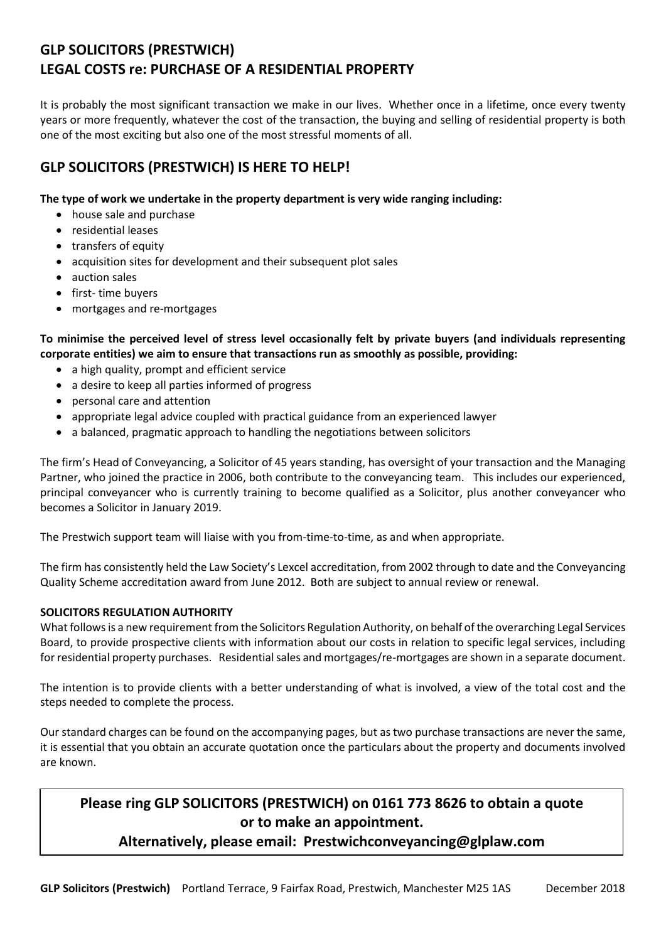# **GLP SOLICITORS (PRESTWICH) LEGAL COSTS re: PURCHASE OF A RESIDENTIAL PROPERTY**

It is probably the most significant transaction we make in our lives. Whether once in a lifetime, once every twenty years or more frequently, whatever the cost of the transaction, the buying and selling of residential property is both one of the most exciting but also one of the most stressful moments of all.

## **GLP SOLICITORS (PRESTWICH) IS HERE TO HELP!**

## **The type of work we undertake in the property department is very wide ranging including:**

- house sale and purchase
- residential leases
- transfers of equity
- acquisition sites for development and their subsequent plot sales
- auction sales
- first- time buyers
- mortgages and re-mortgages

**To minimise the perceived level of stress level occasionally felt by private buyers (and individuals representing corporate entities) we aim to ensure that transactions run as smoothly as possible, providing:**

- a high quality, prompt and efficient service
- a desire to keep all parties informed of progress
- personal care and attention
- appropriate legal advice coupled with practical guidance from an experienced lawyer
- a balanced, pragmatic approach to handling the negotiations between solicitors

The firm's Head of Conveyancing, a Solicitor of 45 years standing, has oversight of your transaction and the Managing Partner, who joined the practice in 2006, both contribute to the conveyancing team. This includes our experienced, principal conveyancer who is currently training to become qualified as a Solicitor, plus another conveyancer who becomes a Solicitor in January 2019.

The Prestwich support team will liaise with you from-time-to-time, as and when appropriate.

The firm has consistently held the Law Society's Lexcel accreditation, from 2002 through to date and the Conveyancing Quality Scheme accreditation award from June 2012. Both are subject to annual review or renewal.

## **SOLICITORS REGULATION AUTHORITY**

What follows is a new requirement from the Solicitors Regulation Authority, on behalf of the overarching Legal Services Board, to provide prospective clients with information about our costs in relation to specific legal services, including for residential property purchases. Residential sales and mortgages/re-mortgages are shown in a separate document.

The intention is to provide clients with a better understanding of what is involved, a view of the total cost and the steps needed to complete the process.

Our standard charges can be found on the accompanying pages, but as two purchase transactions are never the same, it is essential that you obtain an accurate quotation once the particulars about the property and documents involved are known.

## **Please ring GLP SOLICITORS (PRESTWICH) on 0161 773 8626 to obtain a quote or to make an appointment.**

## **Alternatively, please email: Prestwichconveyancing@glplaw.com**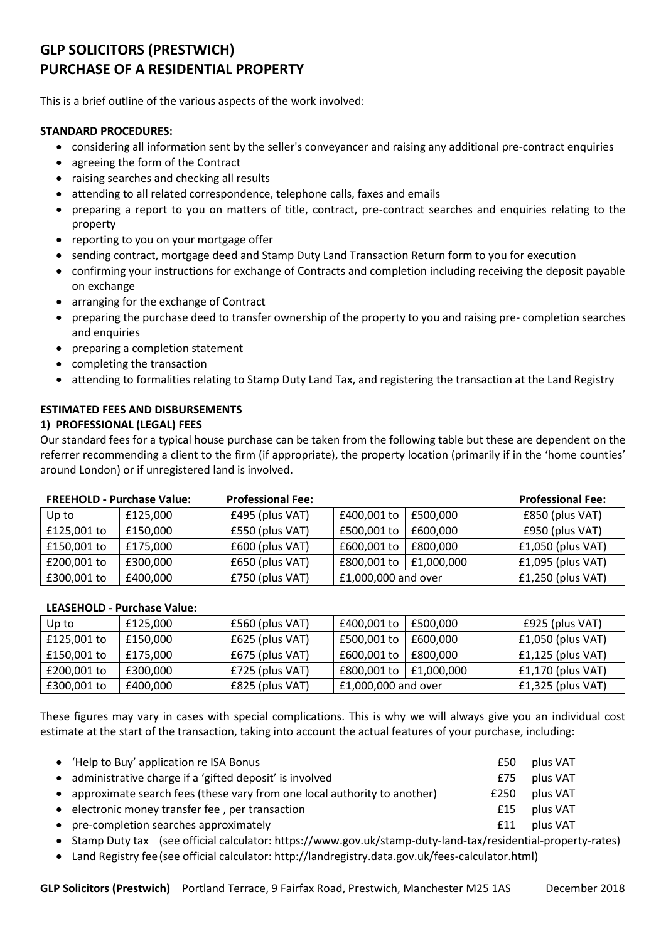# **GLP SOLICITORS (PRESTWICH) PURCHASE OF A RESIDENTIAL PROPERTY**

This is a brief outline of the various aspects of the work involved:

#### **STANDARD PROCEDURES:**

- considering all information sent by the seller's conveyancer and raising any additional pre-contract enquiries
- agreeing the form of the Contract
- raising searches and checking all results
- attending to all related correspondence, telephone calls, faxes and emails
- preparing a report to you on matters of title, contract, pre-contract searches and enquiries relating to the property
- reporting to you on your mortgage offer
- sending contract, mortgage deed and Stamp Duty Land Transaction Return form to you for execution
- confirming your instructions for exchange of Contracts and completion including receiving the deposit payable on exchange
- arranging for the exchange of Contract
- preparing the purchase deed to transfer ownership of the property to you and raising pre- completion searches and enquiries
- preparing a completion statement
- completing the transaction
- attending to formalities relating to Stamp Duty Land Tax, and registering the transaction at the Land Registry

## **ESTIMATED FEES AND DISBURSEMENTS**

#### **1) PROFESSIONAL (LEGAL) FEES**

Our standard fees for a typical house purchase can be taken from the following table but these are dependent on the referrer recommending a client to the firm (if appropriate), the property location (primarily if in the 'home counties' around London) or if unregistered land is involved.

| <b>FREEHOLD - Purchase Value:</b> |          | <b>Professional Fee:</b> |                     |            | <b>Professional Fee:</b> |  |
|-----------------------------------|----------|--------------------------|---------------------|------------|--------------------------|--|
| Up to                             | £125,000 | £495 (plus VAT)          | £400,001 to         | £500,000   | £850 (plus VAT)          |  |
| £125,001 to                       | £150,000 | £550 (plus VAT)          | £500,001 to         | £600,000   | £950 (plus VAT)          |  |
| £150,001 to                       | £175,000 | £600 (plus VAT)          | £600,001 to         | £800,000   | $f1,050$ (plus VAT)      |  |
| £200,001 to                       | £300,000 | £650 (plus VAT)          | £800,001 to         | £1,000,000 | $£1,095$ (plus VAT)      |  |
| £300,001 to                       | £400,000 | £750 (plus VAT)          | £1,000,000 and over |            | $f1,250$ (plus VAT)      |  |

#### **LEASEHOLD - Purchase Value:**

| Up to       | £125,000 | £560 (plus VAT)   | £400,001 to         | £500,000       | £925 (plus VAT)     |
|-------------|----------|-------------------|---------------------|----------------|---------------------|
| £125,001 to | £150,000 | $£625$ (plus VAT) | £500,001 to         | £600.000       | $f1,050$ (plus VAT) |
| £150,001 to | £175,000 | £675 (plus VAT)   | £600,001 to         | £800.000       | $f1,125$ (plus VAT) |
| £200,001 to | £300,000 | £725 (plus VAT)   | £800,001 to         | $ $ £1,000,000 | $f1,170$ (plus VAT) |
| £300,001 to | £400,000 | £825 (plus VAT)   | £1,000,000 and over |                | $f1,325$ (plus VAT) |

These figures may vary in cases with special complications. This is why we will always give you an individual cost estimate at the start of the transaction, taking into account the actual features of your purchase, including:

| • 'Help to Buy' application re ISA Bonus                                   | £50  | plus VAT |
|----------------------------------------------------------------------------|------|----------|
| • administrative charge if a 'gifted deposit' is involved                  | £75  | plus VAT |
| • approximate search fees (these vary from one local authority to another) | £250 | plus VAT |
| • electronic money transfer fee, per transaction                           | f15  | plus VAT |
| • pre-completion searches approximately                                    | £11  | plus VAT |
|                                                                            |      |          |

Stamp Duty tax (see official calculator: https://www.gov.uk/stamp-duty-land-tax/residential-property-rates)

Land Registry fee(see official calculator: http://landregistry.data.gov.uk/fees-calculator.html)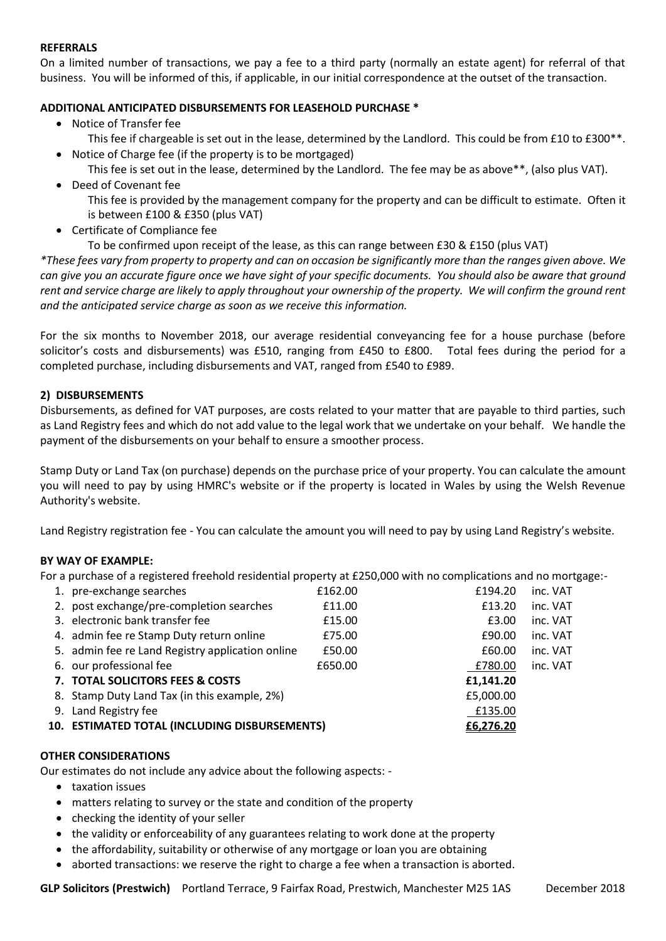#### **REFERRALS**

On a limited number of transactions, we pay a fee to a third party (normally an estate agent) for referral of that business. You will be informed of this, if applicable, in our initial correspondence at the outset of the transaction.

#### **ADDITIONAL ANTICIPATED DISBURSEMENTS FOR LEASEHOLD PURCHASE \***

Notice of Transfer fee

This fee if chargeable is set out in the lease, determined by the Landlord. This could be from £10 to £300\*\*.

- Notice of Charge fee (if the property is to be mortgaged)
	- This fee is set out in the lease, determined by the Landlord. The fee may be as above\*\*, (also plus VAT).
- Deed of Covenant fee

This fee is provided by the management company for the property and can be difficult to estimate. Often it is between £100 & £350 (plus VAT)

Certificate of Compliance fee

To be confirmed upon receipt of the lease, as this can range between £30 & £150 (plus VAT)

*\*These fees vary from property to property and can on occasion be significantly more than the ranges given above. We can give you an accurate figure once we have sight of your specific documents. You should also be aware that ground rent and service charge are likely to apply throughout your ownership of the property. We will confirm the ground rent and the anticipated service charge as soon as we receive this information.* 

For the six months to November 2018, our average residential conveyancing fee for a house purchase (before solicitor's costs and disbursements) was £510, ranging from £450 to £800. Total fees during the period for a completed purchase, including disbursements and VAT, ranged from £540 to £989.

#### **2) DISBURSEMENTS**

Disbursements, as defined for VAT purposes, are costs related to your matter that are payable to third parties, such as Land Registry fees and which do not add value to the legal work that we undertake on your behalf. We handle the payment of the disbursements on your behalf to ensure a smoother process.

Stamp Duty or Land Tax (on purchase) depends on the purchase price of your property. You can calculate the amount you will need to pay by using HMRC's website or if the property is located in Wales by using the Welsh Revenue Authority's website.

Land Registry registration fee - You can calculate the amount you will need to pay by using Land Registry's website.

#### **BY WAY OF EXAMPLE:**

For a purchase of a registered freehold residential property at £250,000 with no complications and no mortgage:-

| 1. pre-exchange searches                         | £162.00 | £194.20   | inc. VAT |
|--------------------------------------------------|---------|-----------|----------|
| 2. post exchange/pre-completion searches         | £11.00  | £13.20    | inc. VAT |
| 3. electronic bank transfer fee                  | £15.00  | £3.00     | inc. VAT |
| 4. admin fee re Stamp Duty return online         | £75.00  | £90.00    | inc. VAT |
| 5. admin fee re Land Registry application online | £50.00  | £60.00    | inc. VAT |
| 6. our professional fee                          | £650.00 | £780.00   | inc. VAT |
| 7. TOTAL SOLICITORS FEES & COSTS                 |         | £1,141.20 |          |
| 8. Stamp Duty Land Tax (in this example, 2%)     |         | £5,000.00 |          |
| 9. Land Registry fee                             |         | £135.00   |          |
| 10. ESTIMATED TOTAL (INCLUDING DISBURSEMENTS)    |         | £6,276.20 |          |

#### **OTHER CONSIDERATIONS**

Our estimates do not include any advice about the following aspects: -

- taxation issues
- matters relating to survey or the state and condition of the property
- checking the identity of your seller
- the validity or enforceability of any guarantees relating to work done at the property
- the affordability, suitability or otherwise of any mortgage or loan you are obtaining
- aborted transactions: we reserve the right to charge a fee when a transaction is aborted.

GLP Solicitors (Prestwich) Portland Terrace, 9 Fairfax Road, Prestwich, Manchester M25 1AS December 2018